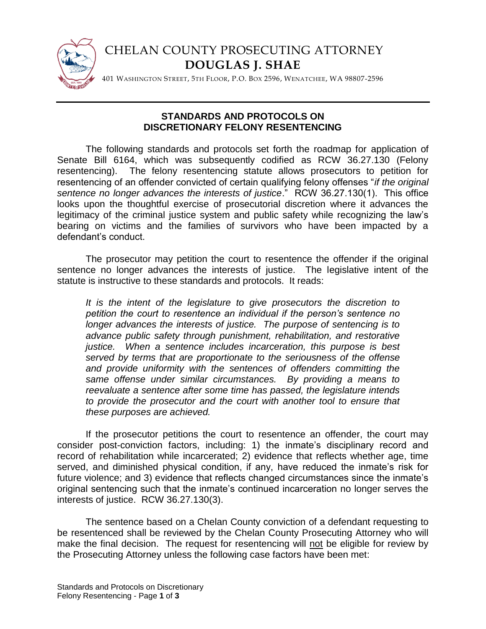

## CHELAN COUNTY PROSECUTING ATTORNEY **DOUGLAS J. SHAE**

401 WASHINGTON STREET, 5TH FLOOR, P.O. BOX 2596, WENATCHEE, WA 98807-2596

## **STANDARDS AND PROTOCOLS ON DISCRETIONARY FELONY RESENTENCING**

The following standards and protocols set forth the roadmap for application of Senate Bill 6164, which was subsequently codified as RCW 36.27.130 (Felony resentencing). The felony resentencing statute allows prosecutors to petition for resentencing of an offender convicted of certain qualifying felony offenses "*if the original sentence no longer advances the interests of justice*." RCW 36.27.130(1). This office looks upon the thoughtful exercise of prosecutorial discretion where it advances the legitimacy of the criminal justice system and public safety while recognizing the law's bearing on victims and the families of survivors who have been impacted by a defendant's conduct.

The prosecutor may petition the court to resentence the offender if the original sentence no longer advances the interests of justice. The legislative intent of the statute is instructive to these standards and protocols. It reads:

*It is the intent of the legislature to give prosecutors the discretion to petition the court to resentence an individual if the person's sentence no longer advances the interests of justice. The purpose of sentencing is to advance public safety through punishment, rehabilitation, and restorative justice. When a sentence includes incarceration, this purpose is best served by terms that are proportionate to the seriousness of the offense and provide uniformity with the sentences of offenders committing the same offense under similar circumstances. By providing a means to reevaluate a sentence after some time has passed, the legislature intends to provide the prosecutor and the court with another tool to ensure that these purposes are achieved.*

If the prosecutor petitions the court to resentence an offender, the court may consider post-conviction factors, including: 1) the inmate's disciplinary record and record of rehabilitation while incarcerated; 2) evidence that reflects whether age, time served, and diminished physical condition, if any, have reduced the inmate's risk for future violence; and 3) evidence that reflects changed circumstances since the inmate's original sentencing such that the inmate's continued incarceration no longer serves the interests of justice. RCW 36.27.130(3).

The sentence based on a Chelan County conviction of a defendant requesting to be resentenced shall be reviewed by the Chelan County Prosecuting Attorney who will make the final decision. The request for resentencing will not be eligible for review by the Prosecuting Attorney unless the following case factors have been met: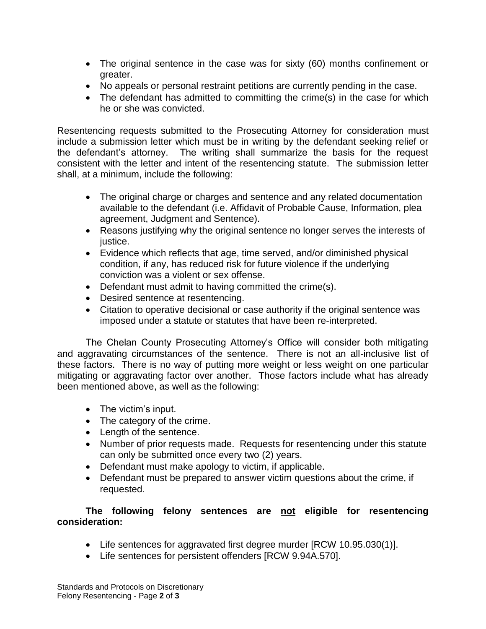- The original sentence in the case was for sixty (60) months confinement or greater.
- No appeals or personal restraint petitions are currently pending in the case.
- The defendant has admitted to committing the crime(s) in the case for which he or she was convicted.

Resentencing requests submitted to the Prosecuting Attorney for consideration must include a submission letter which must be in writing by the defendant seeking relief or the defendant's attorney. The writing shall summarize the basis for the request consistent with the letter and intent of the resentencing statute. The submission letter shall, at a minimum, include the following:

- The original charge or charges and sentence and any related documentation available to the defendant (i.e. Affidavit of Probable Cause, Information, plea agreement, Judgment and Sentence).
- Reasons justifying why the original sentence no longer serves the interests of justice.
- Evidence which reflects that age, time served, and/or diminished physical condition, if any, has reduced risk for future violence if the underlying conviction was a violent or sex offense.
- Defendant must admit to having committed the crime(s).
- Desired sentence at resentencing.
- Citation to operative decisional or case authority if the original sentence was imposed under a statute or statutes that have been re-interpreted.

The Chelan County Prosecuting Attorney's Office will consider both mitigating and aggravating circumstances of the sentence. There is not an all-inclusive list of these factors. There is no way of putting more weight or less weight on one particular mitigating or aggravating factor over another. Those factors include what has already been mentioned above, as well as the following:

- The victim's input.
- The category of the crime.
- Length of the sentence.
- Number of prior requests made. Requests for resentencing under this statute can only be submitted once every two (2) years.
- Defendant must make apology to victim, if applicable.
- Defendant must be prepared to answer victim questions about the crime, if requested.

## **The following felony sentences are not eligible for resentencing consideration:**

- Life sentences for aggravated first degree murder [RCW 10.95.030(1)].
- Life sentences for persistent offenders [RCW 9.94A.570].